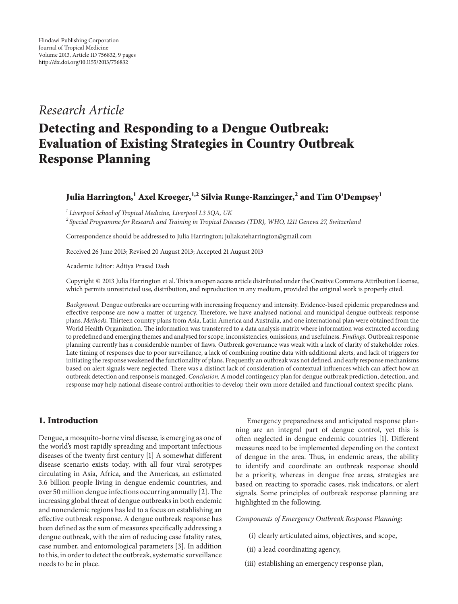## *Research Article*

# **Detecting and Responding to a Dengue Outbreak: Evaluation of Existing Strategies in Country Outbreak Response Planning**

Julia Harrington,<sup>1</sup> Axel Kroeger,<sup>1,2</sup> Silvia Runge-Ranzinger,<sup>2</sup> and Tim O'Dempsey<sup>1</sup>

*<sup>1</sup> Liverpool School of Tropical Medicine, Liverpool L3 5QA, UK*

*<sup>2</sup> Special Programme for Research and Training in Tropical Diseases (TDR), WHO, 1211 Geneva 27, Switzerland*

Correspondence should be addressed to Julia Harrington; juliakateharrington@gmail.com

Received 26 June 2013; Revised 20 August 2013; Accepted 21 August 2013

Academic Editor: Aditya Prasad Dash

Copyright © 2013 Julia Harrington et al.This is an open access article distributed under the Creative Commons Attribution License, which permits unrestricted use, distribution, and reproduction in any medium, provided the original work is properly cited.

*Background.* Dengue outbreaks are occurring with increasing frequency and intensity. Evidence-based epidemic preparedness and effective response are now a matter of urgency. Therefore, we have analysed national and municipal dengue outbreak response plans. *Methods.* Thirteen country plans from Asia, Latin America and Australia, and one international plan were obtained from the World Health Organization. The information was transferred to a data analysis matrix where information was extracted according to predefined and emerging themes and analysed for scope, inconsistencies, omissions, and usefulness. *Findings.* Outbreak response planning currently has a considerable number of flaws. Outbreak governance was weak with a lack of clarity of stakeholder roles. Late timing of responses due to poor surveillance, a lack of combining routine data with additional alerts, and lack of triggers for initiating the response weakened the functionality of plans. Frequently an outbreak was not defined, and early response mechanisms based on alert signals were neglected. There was a distinct lack of consideration of contextual influences which can affect how an outbreak detection and response is managed. *Conclusion.* A model contingency plan for dengue outbreak prediction, detection, and response may help national disease control authorities to develop their own more detailed and functional context specific plans.

## **1. Introduction**

Dengue, a mosquito-borne viral disease, is emerging as one of the world's most rapidly spreading and important infectious diseases of the twenty first century [\[1](#page-7-1)] A somewhat different disease scenario exists today, with all four viral serotypes circulating in Asia, Africa, and the Americas, an estimated 3.6 billion people living in dengue endemic countries, and over 50 million dengue infections occurring annually [\[2](#page-7-2)]. The increasing global threat of dengue outbreaks in both endemic and nonendemic regions has led to a focus on establishing an effective outbreak response. A dengue outbreak response has been defined as the sum of measures specifically addressing a dengue outbreak, with the aim of reducing case fatality rates, case number, and entomological parameters [\[3](#page-7-3)]. In addition to this, in order to detect the outbreak, systematic surveillance needs to be in place.

Emergency preparedness and anticipated response planning are an integral part of dengue control, yet this is often neglected in dengue endemic countries [\[1\]](#page-7-1). Different measures need to be implemented depending on the context of dengue in the area. Thus, in endemic areas, the ability to identify and coordinate an outbreak response should be a priority, whereas in dengue free areas, strategies are based on reacting to sporadic cases, risk indicators, or alert signals. Some principles of outbreak response planning are highlighted in the following.

*Components of Emergency Outbreak Response Planning:*

- (i) clearly articulated aims, objectives, and scope,
- (ii) a lead coordinating agency,
- (iii) establishing an emergency response plan,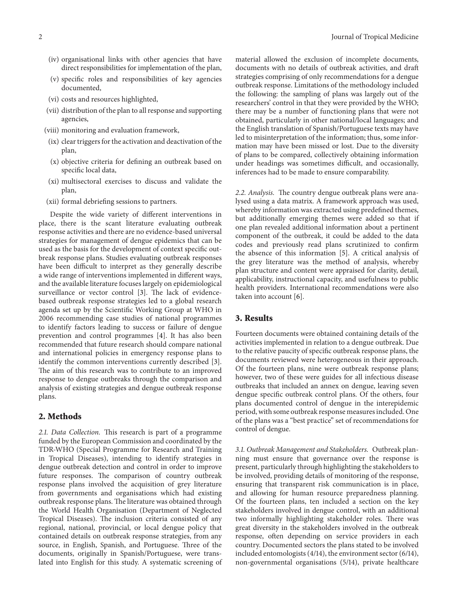- (iv) organisational links with other agencies that have direct responsibilities for implementation of the plan,
- (v) specific roles and responsibilities of key agencies documented,
- (vi) costs and resources highlighted,
- (vii) distribution of the plan to all response and supporting agencies,
- (viii) monitoring and evaluation framework,
- (ix) clear triggers for the activation and deactivation of the plan,
- (x) objective criteria for defining an outbreak based on specific local data,
- (xi) multisectoral exercises to discuss and validate the plan,
- (xii) formal debriefing sessions to partners.

Despite the wide variety of different interventions in place, there is the scant literature evaluating outbreak response activities and there are no evidence-based universal strategies for management of dengue epidemics that can be used as the basis for the development of context specific outbreak response plans. Studies evaluating outbreak responses have been difficult to interpret as they generally describe a wide range of interventions implemented in different ways, and the available literature focuses largely on epidemiological surveillance or vector control [\[3\]](#page-7-3). The lack of evidencebased outbreak response strategies led to a global research agenda set up by the Scientific Working Group at WHO in 2006 recommending case studies of national programmes to identify factors leading to success or failure of dengue prevention and control programmes [\[4\]](#page-7-4). It has also been recommended that future research should compare national and international policies in emergency response plans to identify the common interventions currently described [\[3\]](#page-7-3). The aim of this research was to contribute to an improved response to dengue outbreaks through the comparison and analysis of existing strategies and dengue outbreak response plans.

## **2. Methods**

*2.1. Data Collection.* This research is part of a programme funded by the European Commission and coordinated by the TDR-WHO (Special Programme for Research and Training in Tropical Diseases), intending to identify strategies in dengue outbreak detection and control in order to improve future responses. The comparison of country outbreak response plans involved the acquisition of grey literature from governments and organisations which had existing outbreak response plans. The literature was obtained through the World Health Organisation (Department of Neglected Tropical Diseases). The inclusion criteria consisted of any regional, national, provincial, or local dengue policy that contained details on outbreak response strategies, from any source, in English, Spanish, and Portuguese. Three of the documents, originally in Spanish/Portuguese, were translated into English for this study. A systematic screening of material allowed the exclusion of incomplete documents, documents with no details of outbreak activities, and draft strategies comprising of only recommendations for a dengue outbreak response. Limitations of the methodology included the following: the sampling of plans was largely out of the researchers' control in that they were provided by the WHO; there may be a number of functioning plans that were not obtained, particularly in other national/local languages; and the English translation of Spanish/Portuguese texts may have led to misinterpretation of the information; thus, some information may have been missed or lost. Due to the diversity of plans to be compared, collectively obtaining information under headings was sometimes difficult, and occasionally, inferences had to be made to ensure comparability.

*2.2. Analysis.* The country dengue outbreak plans were analysed using a data matrix. A framework approach was used, whereby information was extracted using predefined themes, but additionally emerging themes were added so that if one plan revealed additional information about a pertinent component of the outbreak, it could be added to the data codes and previously read plans scrutinized to confirm the absence of this information [\[5\]](#page-7-5). A critical analysis of the grey literature was the method of analysis, whereby plan structure and content were appraised for clarity, detail, applicability, instructional capacity, and usefulness to public health providers. International recommendations were also taken into account [\[6](#page-7-6)].

## **3. Results**

Fourteen documents were obtained containing details of the activities implemented in relation to a dengue outbreak. Due to the relative paucity of specific outbreak response plans, the documents reviewed were heterogeneous in their approach. Of the fourteen plans, nine were outbreak response plans; however, two of these were guides for all infectious disease outbreaks that included an annex on dengue, leaving seven dengue specific outbreak control plans. Of the others, four plans documented control of dengue in the interepidemic period, with some outbreak response measures included. One of the plans was a "best practice" set of recommendations for control of dengue.

*3.1. Outbreak Management and Stakeholders.* Outbreak planning must ensure that governance over the response is present, particularly through highlighting the stakeholders to be involved, providing details of monitoring of the response, ensuring that transparent risk communication is in place, and allowing for human resource preparedness planning. Of the fourteen plans, ten included a section on the key stakeholders involved in dengue control, with an additional two informally highlighting stakeholder roles. There was great diversity in the stakeholders involved in the outbreak response, often depending on service providers in each country. Documented sectors the plans stated to be involved included entomologists (4/14), the environment sector (6/14), non-governmental organisations (5/14), private healthcare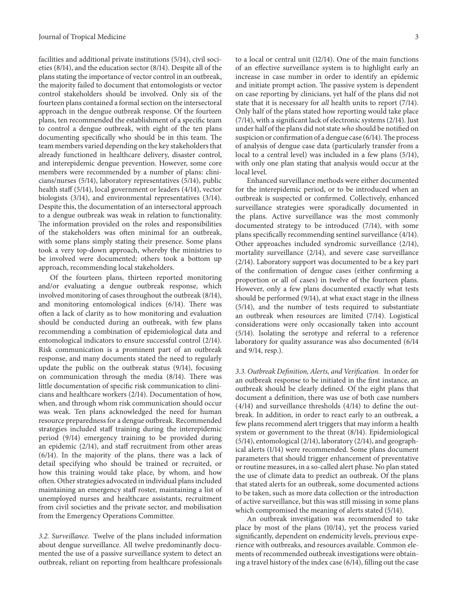facilities and additional private institutions (5/14), civil societies (8/14), and the education sector (8/14). Despite all of the plans stating the importance of vector control in an outbreak, the majority failed to document that entomologists or vector control stakeholders should be involved. Only six of the fourteen plans contained a formal section on the intersectoral approach in the dengue outbreak response. Of the fourteen plans, ten recommended the establishment of a specific team to control a dengue outbreak, with eight of the ten plans documenting specifically who should be in this team. The team members varied depending on the key stakeholders that already functioned in healthcare delivery, disaster control, and interepidemic dengue prevention. However, some core members were recommended by a number of plans: clinicians/nurses (5/14), laboratory representatives (5/14), public health staff (5/14), local government or leaders (4/14), vector biologists (3/14), and environmental representatives (3/14). Despite this, the documentation of an intersectoral approach to a dengue outbreak was weak in relation to functionality. The information provided on the roles and responsibilities of the stakeholders was often minimal for an outbreak, with some plans simply stating their presence. Some plans took a very top-down approach, whereby the ministries to be involved were documented; others took a bottom up approach, recommending local stakeholders.

Of the fourteen plans, thirteen reported monitoring and/or evaluating a dengue outbreak response, which involved monitoring of cases throughout the outbreak (8/14), and monitoring entomological indices (6/14). There was often a lack of clarity as to how monitoring and evaluation should be conducted during an outbreak, with few plans recommending a combination of epidemiological data and entomological indicators to ensure successful control (2/14). Risk communication is a prominent part of an outbreak response, and many documents stated the need to regularly update the public on the outbreak status (9/14), focusing on communication through the media (8/14). There was little documentation of specific risk communication to clinicians and healthcare workers (2/14). Documentation of how, when, and through whom risk communication should occur was weak. Ten plans acknowledged the need for human resource preparedness for a dengue outbreak. Recommended strategies included staff training during the interepidemic period (9/14) emergency training to be provided during an epidemic (2/14), and staff recruitment from other areas (6/14). In the majority of the plans, there was a lack of detail specifying who should be trained or recruited, or how this training would take place, by whom, and how often. Other strategies advocated in individual plans included maintaining an emergency staff roster, maintaining a list of unemployed nurses and healthcare assistants, recruitment from civil societies and the private sector, and mobilisation from the Emergency Operations Committee.

*3.2. Surveillance.* Twelve of the plans included information about dengue surveillance. All twelve predominantly documented the use of a passive surveillance system to detect an outbreak, reliant on reporting from healthcare professionals to a local or central unit (12/14). One of the main functions of an effective surveillance system is to highlight early an increase in case number in order to identify an epidemic and initiate prompt action. The passive system is dependent on case reporting by clinicians, yet half of the plans did not state that it is necessary for *all* health units to report (7/14). Only half of the plans stated how reporting would take place (7/14), with a significant lack of electronic systems (2/14). Just under half of the plans did not state *who* should be notified on suspicion or confirmation of a dengue case (6/14). The process of analysis of dengue case data (particularly transfer from a local to a central level) was included in a few plans (5/14), with only one plan stating that analysis would occur at the local level.

Enhanced surveillance methods were either documented for the interepidemic period, or to be introduced when an outbreak is suspected or confirmed. Collectively, enhanced surveillance strategies were sporadically documented in the plans. Active surveillance was the most commonly documented strategy to be introduced (7/14), with some plans specifically recommending sentinel surveillance (4/14). Other approaches included syndromic surveillance (2/14), mortality surveillance (2/14), and severe case surveillance (2/14). Laboratory support was documented to be a key part of the confirmation of dengue cases (either confirming a proportion or all of cases) in twelve of the fourteen plans. However, only a few plans documented exactly what tests should be performed (9/14), at what exact stage in the illness (5/14), and the number of tests required to substantiate an outbreak when resources are limited (7/14). Logistical considerations were only occasionally taken into account (5/14). Isolating the serotype and referral to a reference laboratory for quality assurance was also documented (6/14 and 9/14, resp.).

*3.3. Outbreak Definition, Alerts, and Verification.* In order for an outbreak response to be initiated in the first instance, an outbreak should be clearly defined. Of the eight plans that document a definition, there was use of both case numbers (4/14) and surveillance thresholds (4/14) to define the outbreak. In addition, in order to react early to an outbreak, a few plans recommend alert triggers that may inform a health system or government to the threat (8/14). Epidemiological (5/14), entomological (2/14), laboratory (2/14), and geographical alerts (1/14) were recommended. Some plans document parameters that should trigger enhancement of preventative or routine measures, in a so-called alert phase. No plan stated the use of climate data to predict an outbreak. Of the plans that stated alerts for an outbreak, some documented actions to be taken, such as more data collection or the introduction of active surveillance, but this was still missing in some plans which compromised the meaning of alerts stated (5/14).

An outbreak investigation was recommended to take place by most of the plans (10/14), yet the process varied significantly, dependent on endemicity levels, previous experience with outbreaks, and resources available. Common elements of recommended outbreak investigations were obtaining a travel history of the index case (6/14), filling out the case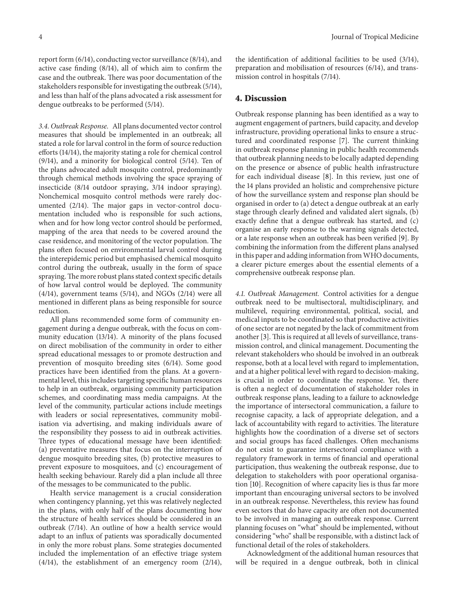report form (6/14), conducting vector surveillance (8/14), and active case finding (8/14), all of which aim to confirm the case and the outbreak. There was poor documentation of the stakeholders responsible for investigating the outbreak (5/14), and less than half of the plans advocated a risk assessment for dengue outbreaks to be performed (5/14).

*3.4. Outbreak Response.* All plans documented vector control measures that should be implemented in an outbreak; all stated a role for larval control in the form of source reduction efforts (14/14), the majority stating a role for chemical control (9/14), and a minority for biological control (5/14). Ten of the plans advocated adult mosquito control, predominantly through chemical methods involving the space spraying of insecticide (8/14 outdoor spraying, 3/14 indoor spraying). Nonchemical mosquito control methods were rarely documented (2/14). The major gaps in vector-control documentation included who is responsible for such actions, when and for how long vector control should be performed, mapping of the area that needs to be covered around the case residence, and monitoring of the vector population. The plans often focused on environmental larval control during the interepidemic period but emphasised chemical mosquito control during the outbreak, usually in the form of space spraying. The more robust plans stated context specific details of how larval control would be deployed. The community (4/14), government teams (5/14), and NGOs (2/14) were all mentioned in different plans as being responsible for source reduction.

All plans recommended some form of community engagement during a dengue outbreak, with the focus on community education (13/14). A minority of the plans focused on direct mobilisation of the community in order to either spread educational messages to or promote destruction and prevention of mosquito breeding sites (6/14). Some good practices have been identified from the plans. At a governmental level, this includes targeting specific human resources to help in an outbreak, organising community participation schemes, and coordinating mass media campaigns. At the level of the community, particular actions include meetings with leaders or social representatives, community mobilisation via advertising, and making individuals aware of the responsibility they possess to aid in outbreak activities. Three types of educational message have been identified: (a) preventative measures that focus on the interruption of dengue mosquito breeding sites, (b) protective measures to prevent exposure to mosquitoes, and (c) encouragement of health seeking behaviour. Rarely did a plan include all three of the messages to be communicated to the public.

Health service management is a crucial consideration when contingency planning, yet this was relatively neglected in the plans, with only half of the plans documenting how the structure of health services should be considered in an outbreak (7/14). An outline of how a health service would adapt to an influx of patients was sporadically documented in only the more robust plans. Some strategies documented included the implementation of an effective triage system (4/14), the establishment of an emergency room (2/14), the identification of additional facilities to be used (3/14), preparation and mobilisation of resources (6/14), and transmission control in hospitals (7/14).

#### **4. Discussion**

Outbreak response planning has been identified as a way to augment engagement of partners, build capacity, and develop infrastructure, providing operational links to ensure a structured and coordinated response [\[7](#page-7-7)]. The current thinking in outbreak response planning in public health recommends that outbreak planning needs to be locally adapted depending on the presence or absence of public health infrastructure for each individual disease [\[8](#page-8-0)]. In this review, just one of the 14 plans provided an holistic and comprehensive picture of how the surveillance system and response plan should be organised in order to (a) detect a dengue outbreak at an early stage through clearly defined and validated alert signals, (b) exactly define that a dengue outbreak has started, and (c) organise an early response to the warning signals detected, or a late response when an outbreak has been verified [\[9](#page-8-1)]. By combining the information from the different plans analysed in this paper and adding information from WHO documents, a clearer picture emerges about the essential elements of a comprehensive outbreak response plan.

*4.1. Outbreak Management.* Control activities for a dengue outbreak need to be multisectoral, multidisciplinary, and multilevel, requiring environmental, political, social, and medical inputs to be coordinated so that productive activities of one sector are not negated by the lack of commitment from another [\[3](#page-7-3)]. This is required at all levels of surveillance, transmission control, and clinical management. Documenting the relevant stakeholders who should be involved in an outbreak response, both at a local level with regard to implementation, and at a higher political level with regard to decision-making, is crucial in order to coordinate the response. Yet, there is often a neglect of documentation of stakeholder roles in outbreak response plans, leading to a failure to acknowledge the importance of intersectoral communication, a failure to recognise capacity, a lack of appropriate delegation, and a lack of accountability with regard to activities. The literature highlights how the coordination of a diverse set of sectors and social groups has faced challenges. Often mechanisms do not exist to guarantee intersectoral compliance with a regulatory framework in terms of financial and operational participation, thus weakening the outbreak response, due to delegation to stakeholders with poor operational organisation [\[10\]](#page-8-2). Recognition of where capacity lies is thus far more important than encouraging universal sectors to be involved in an outbreak response. Nevertheless, this review has found even sectors that do have capacity are often not documented to be involved in managing an outbreak response. Current planning focuses on "what" should be implemented, without considering "who" shall be responsible, with a distinct lack of functional detail of the roles of stakeholders.

Acknowledgment of the additional human resources that will be required in a dengue outbreak, both in clinical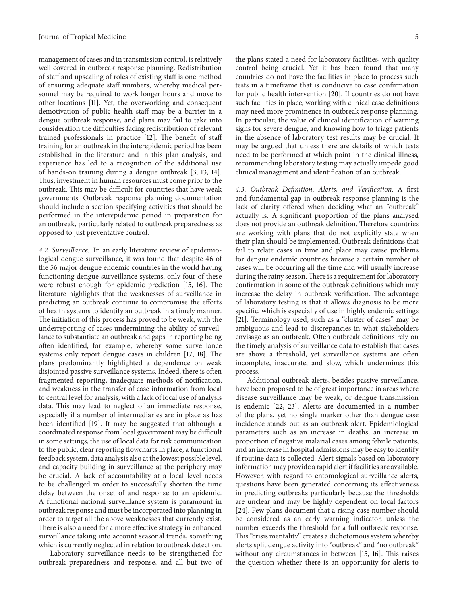management of cases and in transmission control, is relatively well covered in outbreak response planning. Redistribution of staff and upscaling of roles of existing staff is one method of ensuring adequate staff numbers, whereby medical personnel may be required to work longer hours and move to other locations [\[11](#page-8-3)]. Yet, the overworking and consequent demotivation of public health staff may be a barrier in a dengue outbreak response, and plans may fail to take into consideration the difficulties facing redistribution of relevant trained professionals in practice [\[12](#page-8-4)]. The benefit of staff training for an outbreak in the interepidemic period has been established in the literature and in this plan analysis, and experience has led to a recognition of the additional use of hands-on training during a dengue outbreak [\[3](#page-7-3), [13,](#page-8-5) [14\]](#page-8-6). Thus, investment in human resources must come prior to the outbreak. This may be difficult for countries that have weak governments. Outbreak response planning documentation should include a section specifying activities that should be performed in the interepidemic period in preparation for an outbreak, particularly related to outbreak preparedness as opposed to just preventative control.

*4.2. Surveillance.* In an early literature review of epidemiological dengue surveillance, it was found that despite 46 of the 56 major dengue endemic countries in the world having functioning dengue surveillance systems, only four of these were robust enough for epidemic prediction [\[15](#page-8-7), [16\]](#page-8-8). The literature highlights that the weaknesses of surveillance in predicting an outbreak continue to compromise the efforts of health systems to identify an outbreak in a timely manner. The initiation of this process has proved to be weak, with the underreporting of cases undermining the ability of surveillance to substantiate an outbreak and gaps in reporting being often identified, for example, whereby some surveillance systems only report dengue cases in children [\[17](#page-8-9), [18](#page-8-10)]. The plans predominantly highlighted a dependence on weak disjointed passive surveillance systems. Indeed, there is often fragmented reporting, inadequate methods of notification, and weakness in the transfer of case information from local to central level for analysis, with a lack of local use of analysis data. This may lead to neglect of an immediate response, especially if a number of intermediaries are in place as has been identified [\[19](#page-8-11)]. It may be suggested that although a coordinated response from local government may be difficult in some settings, the use of local data for risk communication to the public, clear reporting flowcharts in place, a functional feedback system, data analysis also at the lowest possible level, and capacity building in surveillance at the periphery may be crucial. A lack of accountability at a local level needs to be challenged in order to successfully shorten the time delay between the onset of and response to an epidemic. A functional national surveillance system is paramount in outbreak response and must be incorporated into planning in order to target all the above weaknesses that currently exist. There is also a need for a more effective strategy in enhanced surveillance taking into account seasonal trends, something which is currently neglected in relation to outbreak detection.

Laboratory surveillance needs to be strengthened for outbreak preparedness and response, and all but two of the plans stated a need for laboratory facilities, with quality control being crucial. Yet it has been found that many countries do not have the facilities in place to process such tests in a timeframe that is conducive to case confirmation for public health intervention [\[20](#page-8-12)]. If countries do not have such facilities in place, working with clinical case definitions may need more prominence in outbreak response planning. In particular, the value of clinical identification of warning signs for severe dengue, and knowing how to triage patients in the absence of laboratory test results may be crucial. It may be argued that unless there are details of which tests need to be performed at which point in the clinical illness, recommending laboratory testing may actually impede good clinical management and identification of an outbreak.

*4.3. Outbreak Definition, Alerts, and Verification.* A first and fundamental gap in outbreak response planning is the lack of clarity offered when deciding what an "outbreak" actually is. A significant proportion of the plans analysed does not provide an outbreak definition. Therefore countries are working with plans that do not explicitly state when their plan should be implemented. Outbreak definitions that fail to relate cases in time and place may cause problems for dengue endemic countries because a certain number of cases will be occurring all the time and will usually increase during the rainy season. There is a requirement for laboratory confirmation in some of the outbreak definitions which may increase the delay in outbreak verification. The advantage of laboratory testing is that it allows diagnosis to be more specific, which is especially of use in highly endemic settings [\[21](#page-8-13)]. Terminology used, such as a "cluster of cases" may be ambiguous and lead to discrepancies in what stakeholders envisage as an outbreak. Often outbreak definitions rely on the timely analysis of surveillance data to establish that cases are above a threshold, yet surveillance systems are often incomplete, inaccurate, and slow, which undermines this process.

Additional outbreak alerts, besides passive surveillance, have been proposed to be of great importance in areas where disease surveillance may be weak, or dengue transmission is endemic [\[22,](#page-8-14) [23](#page-8-15)]. Alerts are documented in a number of the plans, yet no single marker other than dengue case incidence stands out as an outbreak alert. Epidemiological parameters such as an increase in deaths, an increase in proportion of negative malarial cases among febrile patients, and an increase in hospital admissions may be easy to identify if routine data is collected. Alert signals based on laboratory information may provide a rapid alert if facilities are available. However, with regard to entomological surveillance alerts, questions have been generated concerning its effectiveness in predicting outbreaks particularly because the thresholds are unclear and may be highly dependent on local factors [\[24](#page-8-16)]. Few plans document that a rising case number should be considered as an early warning indicator, unless the number exceeds the threshold for a full outbreak response. This "crisis mentality" creates a dichotomous system whereby alerts split dengue activity into "outbreak" and "no outbreak" without any circumstances in between [\[15,](#page-8-7) [16](#page-8-8)]. This raises the question whether there is an opportunity for alerts to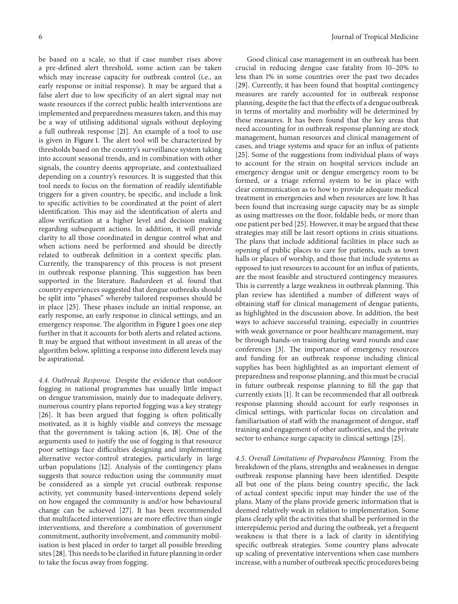be based on a scale, so that if case number rises above a pre-defined alert threshold, some action can be taken which may increase capacity for outbreak control (i.e., an early response or initial response). It may be argued that a false alert due to low specificity of an alert signal may not waste resources if the correct public health interventions are implemented and preparedness measures taken, and this may be a way of utilising additional signals without deploying a full outbreak response [\[21\]](#page-8-13). An example of a tool to use is given in [Figure 1.](#page-6-0) The alert tool will be characterized by thresholds based on the country's surveillance system taking into account seasonal trends, and in combination with other signals, the country deems appropriate, and contextualized depending on a country's resources. It is suggested that this tool needs to focus on the formation of readily identifiable triggers for a given country, be specific, and include a link to specific activities to be coordinated at the point of alert identification. This may aid the identification of alerts and allow verification at a higher level and decision making regarding subsequent actions. In addition, it will provide clarity to all those coordinated in dengue control what and when actions need be performed and should be directly related to outbreak definition in a context specific plan. Currently, the transparency of this process is not present in outbreak response planning. This suggestion has been supported in the literature. Badurdeen et al. found that country experiences suggested that dengue outbreaks should be split into "phases" whereby tailored responses should be in place [\[25\]](#page-8-17). These phases include an initial response, an early response, an early response in clinical settings, and an emergency response. The algorithm in [Figure 1](#page-6-0) goes one step further in that it accounts for both alerts and related actions. It may be argued that without investment in all areas of the algorithm below, splitting a response into different levels may be aspirational.

*4.4. Outbreak Response.* Despite the evidence that outdoor fogging in national programmes has usually little impact on dengue transmission, mainly due to inadequate delivery, numerous country plans reported fogging was a key strategy [\[26\]](#page-8-18). It has been argued that fogging is often politically motivated, as it is highly visible and conveys the message that the government is taking action [\[6,](#page-7-6) [18\]](#page-8-10). One of the arguments used to justify the use of fogging is that resource poor settings face difficulties designing and implementing alternative vector-control strategies, particularly in large urban populations [\[12](#page-8-4)]. Analysis of the contingency plans suggests that source reduction using the community must be considered as a simple yet crucial outbreak response activity, yet community based-interventions depend solely on how engaged the community is and/or how behavioural change can be achieved [\[27](#page-8-19)]. It has been recommended that multifaceted interventions are more effective than single interventions, and therefore a combination of government commitment, authority involvement, and community mobilisation is best placed in order to target all possible breeding sites [\[28](#page-8-20)].This needs to be clarified in future planning in order to take the focus away from fogging.

Good clinical case management in an outbreak has been crucial in reducing dengue case fatality from 10–20% to less than 1% in some countries over the past two decades [\[29\]](#page-8-21). Currently, it has been found that hospital contingency measures are rarely accounted for in outbreak response planning, despite the fact that the effects of a dengue outbreak in terms of mortality and morbidity will be determined by these measures. It has been found that the key areas that need accounting for in outbreak response planning are stock management, human resources and clinical management of cases, and triage systems and space for an influx of patients [\[25](#page-8-17)]. Some of the suggestions from individual plans of ways to account for the strain on hospital services include an emergency dengue unit or dengue emergency room to be formed, or a triage referral system to be in place with clear communication as to how to provide adequate medical treatment in emergencies and when resources are low. It has been found that increasing surge capacity may be as simple as using mattresses on the floor, foldable beds, or more than one patient per bed [\[25](#page-8-17)]. However, it may be argued that these strategies may still be last resort options in crisis situations. The plans that include additional facilities in place such as opening of public places to care for patients, such as town halls or places of worship, and those that include systems as opposed to just resources to account for an influx of patients, are the most feasible and structured contingency measures. This is currently a large weakness in outbreak planning. This plan review has identified a number of different ways of obtaining staff for clinical management of dengue patients, as highlighted in the discussion above. In addition, the best ways to achieve successful training, especially in countries with weak governance or poor healthcare management, may be through hands-on training during ward rounds and case conferences [\[3\]](#page-7-3). The importance of emergency resources and funding for an outbreak response including clinical supplies has been highlighted as an important element of preparedness and response planning, and this must be crucial in future outbreak response planning to fill the gap that currently exists [\[1\]](#page-7-1). It can be recommended that all outbreak response planning should account for early responses in clinical settings, with particular focus on circulation and familiarisation of staff with the management of dengue, staff training and engagement of other authorities, and the private sector to enhance surge capacity in clinical settings [\[25\]](#page-8-17).

*4.5. Overall Limitations of Preparedness Planning.* From the breakdown of the plans, strengths and weaknesses in dengue outbreak response planning have been identified. Despite all but one of the plans being country specific, the lack of actual context specific input may hinder the use of the plans. Many of the plans provide generic information that is deemed relatively weak in relation to implementation. Some plans clearly split the activities that shall be performed in the interepidemic period and during the outbreak, yet a frequent weakness is that there is a lack of clarity in identifying specific outbreak strategies. Some country plans advocate up scaling of preventative interventions when case numbers increase, with a number of outbreak specific procedures being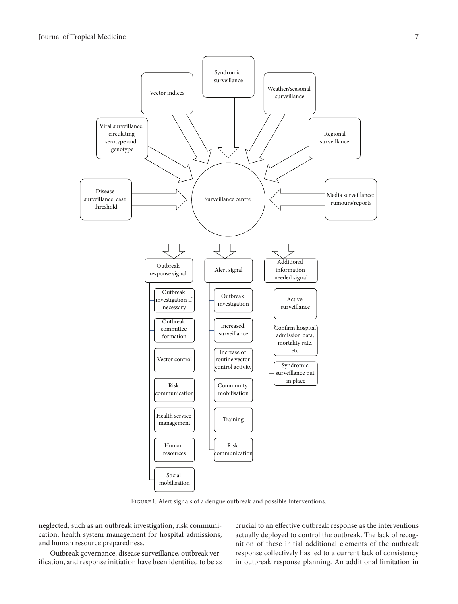

<span id="page-6-0"></span>FIGURE 1: Alert signals of a dengue outbreak and possible Interventions.

neglected, such as an outbreak investigation, risk communication, health system management for hospital admissions, and human resource preparedness.

Outbreak governance, disease surveillance, outbreak verification, and response initiation have been identified to be as crucial to an effective outbreak response as the interventions actually deployed to control the outbreak. The lack of recognition of these initial additional elements of the outbreak response collectively has led to a current lack of consistency in outbreak response planning. An additional limitation in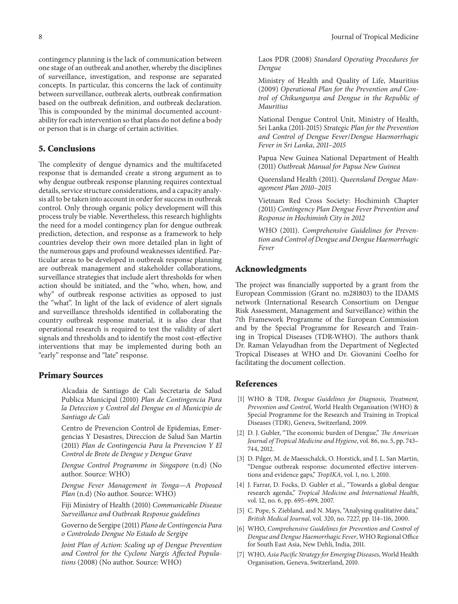contingency planning is the lack of communication between one stage of an outbreak and another, whereby the disciplines of surveillance, investigation, and response are separated concepts. In particular, this concerns the lack of continuity between surveillance, outbreak alerts, outbreak confirmation based on the outbreak definition, and outbreak declaration. This is compounded by the minimal documented accountability for each intervention so that plans do not define a body or person that is in charge of certain activities.

## **5. Conclusions**

The complexity of dengue dynamics and the multifaceted response that is demanded create a strong argument as to why dengue outbreak response planning requires contextual details, service structure considerations, and a capacity analysis all to be taken into account in order for success in outbreak control. Only through organic policy development will this process truly be viable. Nevertheless, this research highlights the need for a model contingency plan for dengue outbreak prediction, detection, and response as a framework to help countries develop their own more detailed plan in light of the numerous gaps and profound weaknesses identified. Particular areas to be developed in outbreak response planning are outbreak management and stakeholder collaborations, surveillance strategies that include alert thresholds for when action should be initiated, and the "who, when, how, and why" of outbreak response activities as opposed to just the "what". In light of the lack of evidence of alert signals and surveillance thresholds identified in collaborating the country outbreak response material, it is also clear that operational research is required to test the validity of alert signals and thresholds and to identify the most cost-effective interventions that may be implemented during both an "early" response and "late" response.

### **Primary Sources**

Alcadaia de Santiago de Cali Secretaria de Salud Publica Municipal (2010) *Plan de Contingencia Para la Deteccion y Control del Dengue en el Municipio de Santiago de Cali*

Centro de Prevencion Control de Epidemias, Emergencias Y Desastres, Direccion de Salud San Martin (2011) *Plan de Contingencia Para la Prevencion Y El Control de Brote de Dengue y Dengue Grave*

*Dengue Control Programme in Singapore* (n.d) (No author. Source: WHO)

*Dengue Fever Management in Tonga*—*A Proposed Plan* (n.d) (No author. Source: WHO)

Fiji Ministry of Health (2010) *Communicable Disease Surveillance and Outbreak Response guidelines*

Governo de Sergipe (2011) *Plano de Contingencia Para o Controledo Dengue No Estado de Sergipe*

*Joint Plan of Action*: *Scaling up of Dengue Prevention and Control for the Cyclone Nargis Affected Populations* (2008) (No author. Source: WHO)

Laos PDR (2008) *Standard Operating Procedures for Dengue*

Ministry of Health and Quality of Life, Mauritius (2009) *Operational Plan for the Prevention and Control of Chikungunya and Dengue in the Republic of Mauritius*

National Dengue Control Unit, Ministry of Health, Sri Lanka (2011-2015) *Strategic Plan for the Prevention and Control of Dengue Fever*/*Dengue Haemorrhagic Fever in Sri Lanka*, *2011*–*2015*

Papua New Guinea National Department of Health (2011) *Outbreak Manual for Papua New Guinea*

Queensland Health (2011). *Queensland Dengue Management Plan 2010*–*2015*

Vietnam Red Cross Society: Hochiminh Chapter (2011) *Contingency Plan Dengue Fever Prevention and Response in Hochiminh City in 2012*

WHO (2011). *Comprehensive Guidelines for Prevention and Control of Dengue and Dengue Haemorrhagic Fever*

## **Acknowledgments**

The project was financially supported by a grant from the European Commission (Grant no. m281803) to the IDAMS network (International Research Consortium on Dengue Risk Assessment, Management and Surveillance) within the 7th Framework Programme of the European Commission and by the Special Programme for Research and Training in Tropical Diseases (TDR-WHO). The authors thank Dr. Raman Velayudhan from the Department of Neglected Tropical Diseases at WHO and Dr. Giovanini Coelho for facilitating the document collection.

## <span id="page-7-0"></span>**References**

- <span id="page-7-1"></span>[1] WHO & TDR, *Dengue Guidelines for Diagnosis, Treatment, Prevention and Control*, World Health Organisation (WHO) & Special Programme for the Research and Training in Tropical Diseases (TDR), Geneva, Switzerland, 2009.
- <span id="page-7-2"></span>[2] D. J. Gubler, "The economic burden of Dengue," *The American Journal of Tropical Medicine and Hygiene*, vol. 86, no. 5, pp. 743– 744, 2012.
- <span id="page-7-3"></span>[3] D. Pilger, M. de Maesschalck, O. Horstick, and J. L. San Martin, "Dengue outbreak response: documented effective interventions and evidence gaps," *TropIKA*, vol. 1, no. 1, 2010.
- <span id="page-7-4"></span>[4] J. Farrar, D. Focks, D. Gubler et al., "Towards a global dengue research agenda," *Tropical Medicine and International Health*, vol. 12, no. 6, pp. 695–699, 2007.
- <span id="page-7-5"></span>[5] C. Pope, S. Ziebland, and N. Mays, "Analysing qualitative data," *British Medical Journal*, vol. 320, no. 7227, pp. 114–116, 2000.
- <span id="page-7-6"></span>[6] WHO, *Comprehensive Guidelines for Prevention and Control of Dengue and Dengue Haemorrhagic Fever*, WHO Regional Office for South East Asia, New Dehli, India, 2011.
- <span id="page-7-7"></span>[7] WHO, *Asia Pacific Strategy for Emerging Diseases*, World Health Organisation, Geneva, Switzerland, 2010.